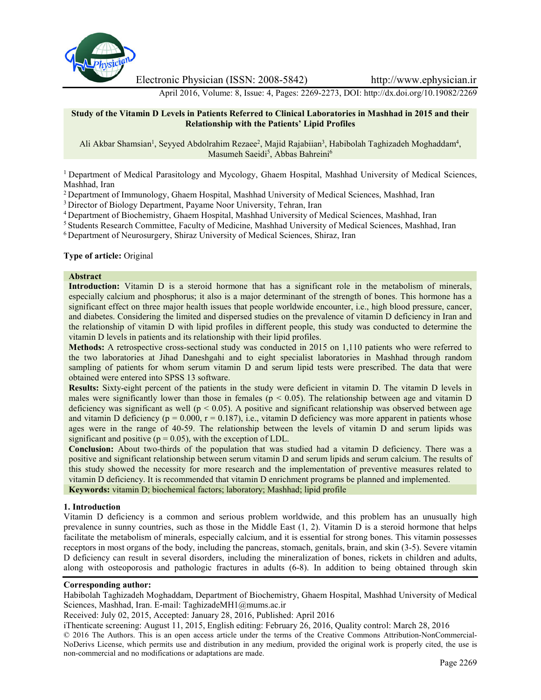

Electronic Physician (ISSN: 2008-5842) http://www.ephysician.ir

April 2016, Volume: 8, Issue: 4, Pages: 2269-2273, DOI: http://dx.doi.org/10.19082/2269

#### **Study of the Vitamin D Levels in Patients Referred to Clinical Laboratories in Mashhad in 2015 and their Relationship with the Patients' Lipid Profiles**

Ali Akbar Shamsian<sup>1</sup>, Seyyed Abdolrahim Rezaee<sup>2</sup>, Majid Rajabiian<sup>3</sup>, Habibolah Taghizadeh Moghaddam<sup>4</sup>, Masumeh Saeidi<sup>5</sup>, Abbas Bahreini<sup>6</sup>

<sup>1</sup>Department of Medical Parasitology and Mycology, Ghaem Hospital, Mashhad University of Medical Sciences, Mashhad, Iran

<sup>2</sup> Department of Immunology, Ghaem Hospital, Mashhad University of Medical Sciences, Mashhad, Iran

<sup>3</sup> Director of Biology Department, Payame Noor University, Tehran, Iran

<sup>4</sup>Department of Biochemistry, Ghaem Hospital, Mashhad University of Medical Sciences, Mashhad, Iran

<sup>5</sup> Students Research Committee, Faculty of Medicine, Mashhad University of Medical Sciences, Mashhad, Iran

<sup>6</sup> Department of Neurosurgery, Shiraz University of Medical Sciences, Shiraz, Iran

**Type of article:** Original

#### **Abstract**

**Introduction:** Vitamin D is a steroid hormone that has a significant role in the metabolism of minerals, especially calcium and phosphorus; it also is a major determinant of the strength of bones. This hormone has a significant effect on three major health issues that people worldwide encounter, i.e., high blood pressure, cancer, and diabetes. Considering the limited and dispersed studies on the prevalence of vitamin D deficiency in Iran and the relationship of vitamin D with lipid profiles in different people, this study was conducted to determine the vitamin D levels in patients and its relationship with their lipid profiles.

**Methods:** A retrospective cross-sectional study was conducted in 2015 on 1,110 patients who were referred to the two laboratories at Jihad Daneshgahi and to eight specialist laboratories in Mashhad through random sampling of patients for whom serum vitamin D and serum lipid tests were prescribed. The data that were obtained were entered into SPSS 13 software.

**Results:** Sixty-eight percent of the patients in the study were deficient in vitamin D. The vitamin D levels in males were significantly lower than those in females ( $p < 0.05$ ). The relationship between age and vitamin D deficiency was significant as well ( $p < 0.05$ ). A positive and significant relationship was observed between age and vitamin D deficiency ( $p = 0.000$ ,  $r = 0.187$ ), i.e., vitamin D deficiency was more apparent in patients whose ages were in the range of 40-59. The relationship between the levels of vitamin D and serum lipids was significant and positive ( $p = 0.05$ ), with the exception of LDL.

**Conclusion:** About two-thirds of the population that was studied had a vitamin D deficiency. There was a positive and significant relationship between serum vitamin D and serum lipids and serum calcium. The results of this study showed the necessity for more research and the implementation of preventive measures related to vitamin D deficiency. It is recommended that vitamin D enrichment programs be planned and implemented. **Keywords:** vitamin D; biochemical factors; laboratory; Mashhad; lipid profile

#### **1. Introduction**

Vitamin D deficiency is a common and serious problem worldwide, and this problem has an unusually high prevalence in sunny countries, such as those in the Middle East (1, 2). Vitamin D is a steroid hormone that helps facilitate the metabolism of minerals, especially calcium, and it is essential for strong bones. This vitamin possesses receptors in most organs of the body, including the pancreas, stomach, genitals, brain, and skin (3-5). Severe vitamin D deficiency can result in several disorders, including the mineralization of bones, rickets in children and adults, along with osteoporosis and pathologic fractures in adults (6-8). In addition to being obtained through skin

#### **Corresponding author:**

Habibolah Taghizadeh Moghaddam, Department of Biochemistry, Ghaem Hospital, Mashhad University of Medical Sciences, Mashhad, Iran. E-mail: TaghizadeMH1@mums.ac.ir

Received: July 02, 2015, Accepted: January 28, 2016, Published: April 2016

iThenticate screening: August 11, 2015, English editing: February 26, 2016, Quality control: March 28, 2016

© 2016 The Authors. This is an open access article under the terms of the Creative Commons Attribution-NonCommercial-NoDerivs License, which permits use and distribution in any medium, provided the original work is properly cited, the use is non-commercial and no modifications or adaptations are made.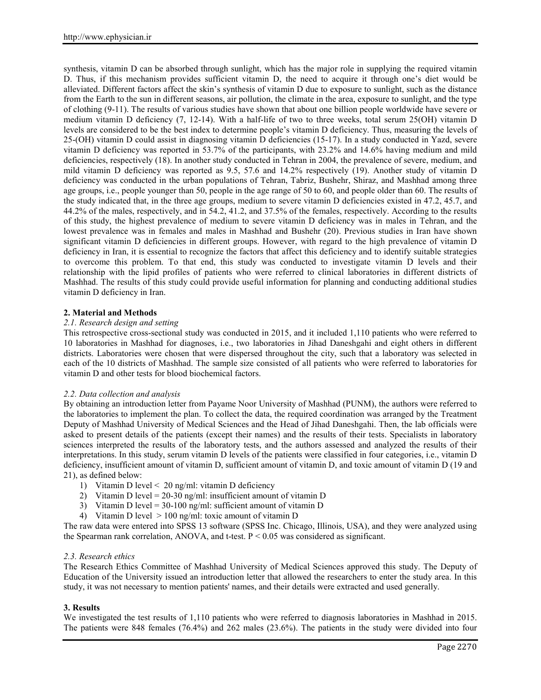synthesis, vitamin D can be absorbed through sunlight, which has the major role in supplying the required vitamin D. Thus, if this mechanism provides sufficient vitamin D, the need to acquire it through one's diet would be alleviated. Different factors affect the skin's synthesis of vitamin D due to exposure to sunlight, such as the distance from the Earth to the sun in different seasons, air pollution, the climate in the area, exposure to sunlight, and the type of clothing (9-11). The results of various studies have shown that about one billion people worldwide have severe or medium vitamin D deficiency (7, 12-14). With a half-life of two to three weeks, total serum 25(OH) vitamin D levels are considered to be the best index to determine people's vitamin D deficiency. Thus, measuring the levels of 25-(OH) vitamin D could assist in diagnosing vitamin D deficiencies (15-17). In a study conducted in Yazd, severe vitamin D deficiency was reported in 53.7% of the participants, with 23.2% and 14.6% having medium and mild deficiencies, respectively (18). In another study conducted in Tehran in 2004, the prevalence of severe, medium, and mild vitamin D deficiency was reported as 9.5, 57.6 and 14.2% respectively (19). Another study of vitamin D deficiency was conducted in the urban populations of Tehran, Tabriz, Bushehr, Shiraz, and Mashhad among three age groups, i.e., people younger than 50, people in the age range of 50 to 60, and people older than 60. The results of the study indicated that, in the three age groups, medium to severe vitamin D deficiencies existed in 47.2, 45.7, and 44.2% of the males, respectively, and in 54.2, 41.2, and 37.5% of the females, respectively. According to the results of this study, the highest prevalence of medium to severe vitamin D deficiency was in males in Tehran, and the lowest prevalence was in females and males in Mashhad and Bushehr (20). Previous studies in Iran have shown significant vitamin D deficiencies in different groups. However, with regard to the high prevalence of vitamin D deficiency in Iran, it is essential to recognize the factors that affect this deficiency and to identify suitable strategies to overcome this problem. To that end, this study was conducted to investigate vitamin D levels and their relationship with the lipid profiles of patients who were referred to clinical laboratories in different districts of Mashhad. The results of this study could provide useful information for planning and conducting additional studies vitamin D deficiency in Iran.

# **2. Material and Methods**

### *2.1. Research design and setting*

This retrospective cross-sectional study was conducted in 2015, and it included 1,110 patients who were referred to 10 laboratories in Mashhad for diagnoses, i.e., two laboratories in Jihad Daneshgahi and eight others in different districts. Laboratories were chosen that were dispersed throughout the city, such that a laboratory was selected in each of the 10 districts of Mashhad. The sample size consisted of all patients who were referred to laboratories for vitamin D and other tests for blood biochemical factors.

### *2.2. Data collection and analysis*

By obtaining an introduction letter from Payame Noor University of Mashhad (PUNM), the authors were referred to the laboratories to implement the plan. To collect the data, the required coordination was arranged by the Treatment Deputy of Mashhad University of Medical Sciences and the Head of Jihad Daneshgahi. Then, the lab officials were asked to present details of the patients (except their names) and the results of their tests. Specialists in laboratory sciences interpreted the results of the laboratory tests, and the authors assessed and analyzed the results of their interpretations. In this study, serum vitamin D levels of the patients were classified in four categories, i.e., vitamin D deficiency, insufficient amount of vitamin D, sufficient amount of vitamin D, and toxic amount of vitamin D (19 and 21), as defined below:

- 1) Vitamin D level < 20 ng/ml: vitamin D deficiency
- 2) Vitamin D level = 20-30 ng/ml: insufficient amount of vitamin D
- 3) Vitamin D level =  $30-100$  ng/ml: sufficient amount of vitamin D
- 4) Vitamin D level > 100 ng/ml: toxic amount of vitamin D

The raw data were entered into SPSS 13 software (SPSS Inc. Chicago, Illinois, USA), and they were analyzed using the Spearman rank correlation, ANOVA, and t-test.  $P < 0.05$  was considered as significant.

### *2.3. Research ethics*

The Research Ethics Committee of Mashhad University of Medical Sciences approved this study. The Deputy of Education of the University issued an introduction letter that allowed the researchers to enter the study area. In this study, it was not necessary to mention patients' names, and their details were extracted and used generally.

### **3. Results**

We investigated the test results of 1,110 patients who were referred to diagnosis laboratories in Mashhad in 2015. The patients were 848 females (76.4%) and 262 males (23.6%). The patients in the study were divided into four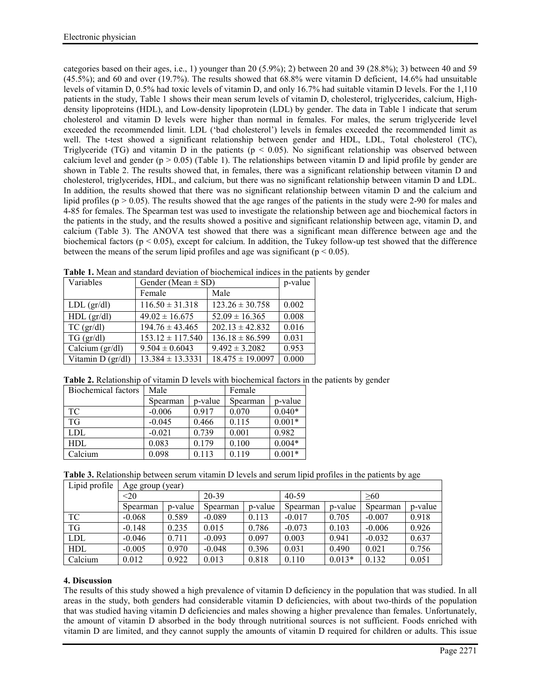categories based on their ages, i.e., 1) younger than 20 (5.9%); 2) between 20 and 39 (28.8%); 3) between 40 and 59 (45.5%); and 60 and over (19.7%). The results showed that 68.8% were vitamin D deficient, 14.6% had unsuitable levels of vitamin D, 0.5% had toxic levels of vitamin D, and only 16.7% had suitable vitamin D levels. For the 1,110 patients in the study, Table 1 shows their mean serum levels of vitamin D, cholesterol, triglycerides, calcium, Highdensity lipoproteins (HDL), and Low-density lipoprotein (LDL) by gender. The data in Table 1 indicate that serum cholesterol and vitamin D levels were higher than normal in females. For males, the serum triglyceride level exceeded the recommended limit. LDL ('bad cholesterol') levels in females exceeded the recommended limit as well. The t-test showed a significant relationship between gender and HDL, LDL, Total cholesterol (TC), Triglyceride (TG) and vitamin D in the patients ( $p < 0.05$ ). No significant relationship was observed between calcium level and gender ( $p > 0.05$ ) (Table 1). The relationships between vitamin D and lipid profile by gender are shown in Table 2. The results showed that, in females, there was a significant relationship between vitamin D and cholesterol, triglycerides, HDL, and calcium, but there was no significant relationship between vitamin D and LDL. In addition, the results showed that there was no significant relationship between vitamin D and the calcium and lipid profiles ( $p > 0.05$ ). The results showed that the age ranges of the patients in the study were 2-90 for males and 4-85 for females. The Spearman test was used to investigate the relationship between age and biochemical factors in the patients in the study, and the results showed a positive and significant relationship between age, vitamin D, and calcium (Table 3). The ANOVA test showed that there was a significant mean difference between age and the biochemical factors ( $p < 0.05$ ), except for calcium. In addition, the Tukey follow-up test showed that the difference between the means of the serum lipid profiles and age was significant ( $p < 0.05$ ).

| Variables               | Gender (Mean $\pm$ SD) | p-value              |       |
|-------------------------|------------------------|----------------------|-------|
|                         | Female                 | Male                 |       |
| $LDL$ (gr/dl)           | $116.50 \pm 31.318$    | $123.26 \pm 30.758$  | 0.002 |
| $HDL$ (gr/dl)           | $49.02 \pm 16.675$     | $52.09 \pm 16.365$   | 0.008 |
| $TC$ (gr/dl)            | $194.76 \pm 43.465$    | $202.13 \pm 42.832$  | 0.016 |
| $TG$ (gr/dl)            | $153.12 \pm 117.540$   | $136.18 \pm 86.599$  | 0.031 |
| Calcium $\frac{gr}{dl}$ | $9.504 \pm 0.6043$     | $9.492 \pm 3.2082$   | 0.953 |
| Vitamin $D$ (gr/dl)     | $13.384 \pm 13.3331$   | $18.475 \pm 19.0097$ | 0.000 |

**Table 1.** Mean and standard deviation of biochemical indices in the patients by gender

| Table 2. Relationship of vitamin D levels with biochemical factors in the patients by gender |  |  |  |
|----------------------------------------------------------------------------------------------|--|--|--|
|                                                                                              |  |  |  |

| Biochemical factors | Male     |         | Female   |          |  |
|---------------------|----------|---------|----------|----------|--|
|                     | Spearman | p-value | Spearman | p-value  |  |
| TC                  | $-0.006$ | 0.917   | 0.070    | $0.040*$ |  |
| <b>TG</b>           | $-0.045$ | 0.466   | 0.115    | $0.001*$ |  |
| LDL                 | $-0.021$ | 0.739   | 0.001    | 0.982    |  |
| HDL                 | 0.083    | 0.179   | 0.100    | $0.004*$ |  |
| Calcium             | 0.098    | 0.113   | 0.119    | $0.001*$ |  |

**Table 3.** Relationship between serum vitamin D levels and serum lipid profiles in the patients by age

| Lipid profile | Age group (year) |         |          |         |          |          |          |         |
|---------------|------------------|---------|----------|---------|----------|----------|----------|---------|
|               | <20              |         | 20-39    |         | 40-59    |          | >60      |         |
|               | Spearman         | p-value | Spearman | p-value | Spearman | p-value  | Spearman | p-value |
| TC            | $-0.068$         | 0.589   | $-0.089$ | 0.113   | $-0.017$ | 0.705    | $-0.007$ | 0.918   |
| <b>TG</b>     | $-0.148$         | 0.235   | 0.015    | 0.786   | $-0.073$ | 0.103    | $-0.006$ | 0.926   |
| <b>LDL</b>    | $-0.046$         | 0.711   | $-0.093$ | 0.097   | 0.003    | 0.941    | $-0.032$ | 0.637   |
| HDL           | $-0.005$         | 0.970   | $-0.048$ | 0.396   | 0.031    | 0.490    | 0.021    | 0.756   |
| Calcium       | 0.012            | 0.922   | 0.013    | 0.818   | 0.110    | $0.013*$ | 0.132    | 0.051   |

# **4. Discussion**

The results of this study showed a high prevalence of vitamin D deficiency in the population that was studied. In all areas in the study, both genders had considerable vitamin D deficiencies, with about two-thirds of the population that was studied having vitamin D deficiencies and males showing a higher prevalence than females. Unfortunately, the amount of vitamin D absorbed in the body through nutritional sources is not sufficient. Foods enriched with vitamin D are limited, and they cannot supply the amounts of vitamin D required for children or adults. This issue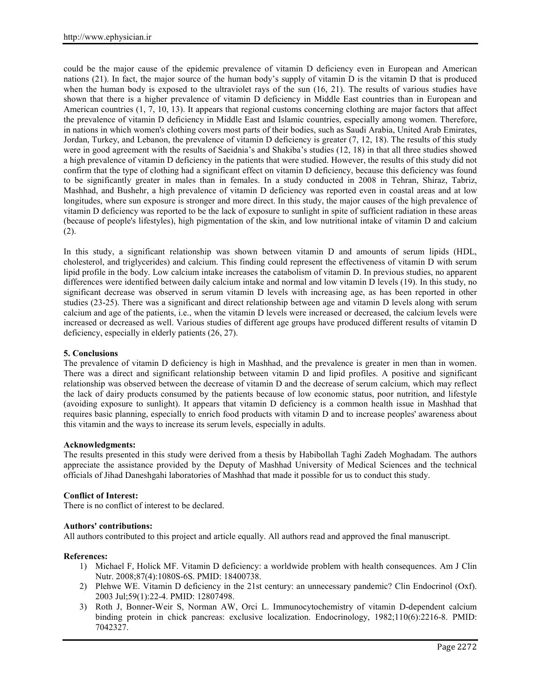could be the major cause of the epidemic prevalence of vitamin D deficiency even in European and American nations (21). In fact, the major source of the human body's supply of vitamin D is the vitamin D that is produced when the human body is exposed to the ultraviolet rays of the sun (16, 21). The results of various studies have shown that there is a higher prevalence of vitamin D deficiency in Middle East countries than in European and American countries (1, 7, 10, 13). It appears that regional customs concerning clothing are major factors that affect the prevalence of vitamin D deficiency in Middle East and Islamic countries, especially among women. Therefore, in nations in which women's clothing covers most parts of their bodies, such as Saudi Arabia, United Arab Emirates, Jordan, Turkey, and Lebanon, the prevalence of vitamin D deficiency is greater (7, 12, 18). The results of this study were in good agreement with the results of Saeidnia's and Shakiba's studies (12, 18) in that all three studies showed a high prevalence of vitamin D deficiency in the patients that were studied. However, the results of this study did not confirm that the type of clothing had a significant effect on vitamin D deficiency, because this deficiency was found to be significantly greater in males than in females. In a study conducted in 2008 in Tehran, Shiraz, Tabriz, Mashhad, and Bushehr, a high prevalence of vitamin D deficiency was reported even in coastal areas and at low longitudes, where sun exposure is stronger and more direct. In this study, the major causes of the high prevalence of vitamin D deficiency was reported to be the lack of exposure to sunlight in spite of sufficient radiation in these areas (because of people's lifestyles), high pigmentation of the skin, and low nutritional intake of vitamin D and calcium (2).

In this study, a significant relationship was shown between vitamin D and amounts of serum lipids (HDL, cholesterol, and triglycerides) and calcium. This finding could represent the effectiveness of vitamin D with serum lipid profile in the body. Low calcium intake increases the catabolism of vitamin D. In previous studies, no apparent differences were identified between daily calcium intake and normal and low vitamin D levels (19). In this study, no significant decrease was observed in serum vitamin D levels with increasing age, as has been reported in other studies (23-25). There was a significant and direct relationship between age and vitamin D levels along with serum calcium and age of the patients, i.e., when the vitamin D levels were increased or decreased, the calcium levels were increased or decreased as well. Various studies of different age groups have produced different results of vitamin D deficiency, especially in elderly patients (26, 27).

## **5. Conclusions**

The prevalence of vitamin D deficiency is high in Mashhad, and the prevalence is greater in men than in women. There was a direct and significant relationship between vitamin D and lipid profiles. A positive and significant relationship was observed between the decrease of vitamin D and the decrease of serum calcium, which may reflect the lack of dairy products consumed by the patients because of low economic status, poor nutrition, and lifestyle (avoiding exposure to sunlight). It appears that vitamin D deficiency is a common health issue in Mashhad that requires basic planning, especially to enrich food products with vitamin D and to increase peoples' awareness about this vitamin and the ways to increase its serum levels, especially in adults.

### **Acknowledgments:**

The results presented in this study were derived from a thesis by Habibollah Taghi Zadeh Moghadam. The authors appreciate the assistance provided by the Deputy of Mashhad University of Medical Sciences and the technical officials of Jihad Daneshgahi laboratories of Mashhad that made it possible for us to conduct this study.

### **Conflict of Interest:**

There is no conflict of interest to be declared.

## **Authors' contributions:**

All authors contributed to this project and article equally. All authors read and approved the final manuscript.

### **References:**

- 1) Michael F, Holick MF. Vitamin D deficiency: a worldwide problem with health consequences. Am J Clin Nutr. 2008;87(4):1080S-6S. PMID: 18400738.
- 2) Plehwe WE. Vitamin D deficiency in the 21st century: an unnecessary pandemic? Clin Endocrinol (Oxf). 2003 Jul;59(1):22-4. PMID: 12807498.
- 3) Roth J, Bonner-Weir S, Norman AW, Orci L. Immunocytochemistry of vitamin D-dependent calcium binding protein in chick pancreas: exclusive localization. Endocrinology, 1982;110(6):2216-8. PMID: 7042327.